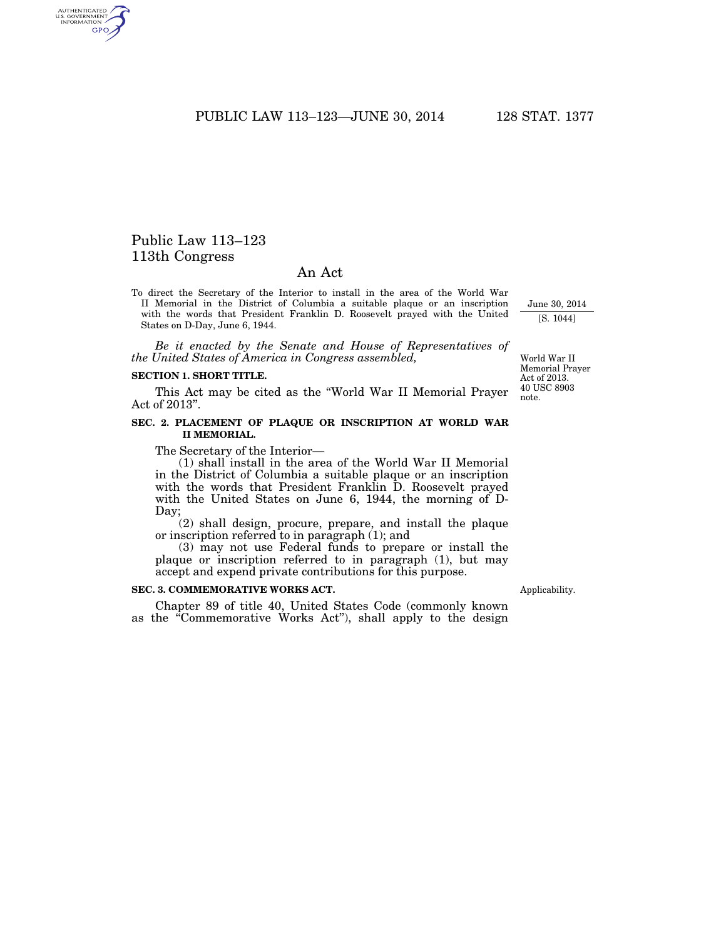PUBLIC LAW 113–123—JUNE 30, 2014 128 STAT. 1377

# Public Law 113–123 113th Congress

AUTHENTICATED<br>U.S. GOVERNMENT<br>INFORMATION GPO

## An Act

To direct the Secretary of the Interior to install in the area of the World War II Memorial in the District of Columbia a suitable plaque or an inscription with the words that President Franklin D. Roosevelt prayed with the United States on D-Day, June 6, 1944.

*Be it enacted by the Senate and House of Representatives of the United States of America in Congress assembled,* 

### **SECTION 1. SHORT TITLE.**

This Act may be cited as the ''World War II Memorial Prayer Act of 2013''.

#### **SEC. 2. PLACEMENT OF PLAQUE OR INSCRIPTION AT WORLD WAR II MEMORIAL.**

The Secretary of the Interior—

(1) shall install in the area of the World War II Memorial in the District of Columbia a suitable plaque or an inscription with the words that President Franklin D. Roosevelt prayed with the United States on June 6, 1944, the morning of D-Day;

(2) shall design, procure, prepare, and install the plaque or inscription referred to in paragraph (1); and

(3) may not use Federal funds to prepare or install the plaque or inscription referred to in paragraph (1), but may accept and expend private contributions for this purpose.

#### **SEC. 3. COMMEMORATIVE WORKS ACT.**

Chapter 89 of title 40, United States Code (commonly known as the "Commemorative Works Act"), shall apply to the design

Memorial Prayer Act of 2013. 40 USC 8903 note.

June 30, 2014 [S. 1044]

World War II

Applicability.